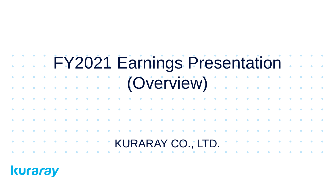## FY2021 Earnings Presentation (Overview) KURARAY CO., LTD.

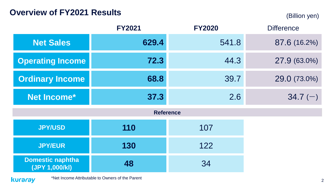## **Overview of FY2021 Results** (Billion yen)

|                                           | <b>FY2021</b> | <b>FY2020</b>    | <b>Difference</b> |
|-------------------------------------------|---------------|------------------|-------------------|
| <b>Net Sales</b>                          | 629.4         | 541.8            | 87.6 (16.2%)      |
| <b>Operating Income</b>                   | 72.3          | 44.3             | 27.9 (63.0%)      |
| <b>Ordinary Income</b>                    | 68.8          | 39.7             | 29.0 (73.0%)      |
| Net Income*                               | 37.3          | 2.6              | $34.7(-)$         |
|                                           |               | <b>Reference</b> |                   |
| <b>JPY/USD</b>                            | 110           | 107              |                   |
| <b>JPY/EUR</b>                            | 130           | 122              |                   |
| <b>Domestic naphtha</b><br>(JPY 1,000/kl) | 48            | 34               |                   |

kuraray

\*Net Income Attributable to Owners of the Parent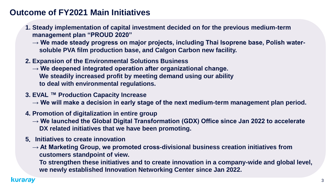## **Outcome of FY2021 Main Initiatives**

- **1. Steady implementation of capital investment decided on for the previous medium-term management plan "PROUD 2020"**
	- → We made steady progress on major projects, including Thai Isoprene base, Polish water**soluble PVA film production base, and Calgon Carbon new facility.**
- **2. Expansion of the Environmental Solutions Business**
	- **→ We deepened integrated operation after organizational change. We steadily increased profit by meeting demand using our ability to deal with environmental regulations.**
- **3. EVAL ™ Production Capacity Increase**
	- → We will make a decision in early stage of the next medium-term management plan period.
- **4. Promotion of digitalization in entire group**
	- → We launched the Global Digital Transformation (GDX) Office since Jan 2022 to accelerate **DX related initiatives that we have been promoting.**
- **5.Initiatives to create innovation**
	- → At Marketing Group, we promoted cross-divisional business creation initiatives from **customers standpoint of view.**

**To strengthen these initiatives and to create innovation in a company-wide and global level, we newly established Innovation Networking Center since Jan 2022.**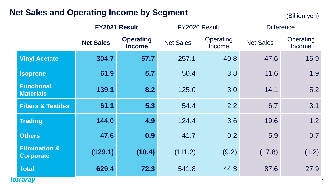## **Net Sales and Operating Income by Segment**

(Billion yen)

|                                              |                  | FY2021 Result                     | FY2020 Result    |                     | <b>Difference</b> |                     |
|----------------------------------------------|------------------|-----------------------------------|------------------|---------------------|-------------------|---------------------|
|                                              | <b>Net Sales</b> | <b>Operating</b><br><b>Income</b> | <b>Net Sales</b> | Operating<br>Income |                   | Operating<br>Income |
| <b>Vinyl Acetate</b>                         | 304.7            | 57.7                              | 257.1            | 40.8                | 47.6              | 16.9                |
| <b>Isoprene</b>                              | 61.9             | 5.7                               | 50.4             | 3.8                 | 11.6              | 1.9                 |
| <b>Functional</b><br><b>Materials</b>        | 139.1            | 8.2                               | 125.0            | 3.0                 | 14.1              | 5.2                 |
| <b>Fibers &amp; Textiles</b>                 | 61.1             | 5.3                               | 54.4             | 2.2                 | 6.7               | 3.1                 |
| <b>Trading</b>                               | 144.0            | 4.9                               | 124.4            | 3.6                 | 19.6              | 1.2                 |
| <b>Others</b>                                | 47.6             | 0.9                               | 41.7             | 0.2                 | 5.9               | 0.7                 |
| <b>Elimination &amp;</b><br><b>Corporate</b> | (129.1)          | (10.4)                            | (111.2)          | (9.2)               | (17.8)            | (1.2)               |
| <b>Total</b>                                 | 629.4            | 72.3                              | 541.8            | 44.3                | 87.6              | 27.9                |
| <b>kuraray</b>                               |                  |                                   |                  |                     |                   |                     |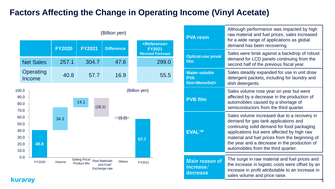## **Factors Affecting the Change in Operating Income (Vinyl Acetate)**



| <b>PVA resin</b>                                               | Although performance was impacted by high<br>raw material and fuel prices, sales increased<br>for a wide range of applications as global<br>demand has been recovering.                                                                                                                                                  |
|----------------------------------------------------------------|--------------------------------------------------------------------------------------------------------------------------------------------------------------------------------------------------------------------------------------------------------------------------------------------------------------------------|
| <b>Optical-use poval</b><br>film                               | Sales were brisk against a backdrop of robust<br>demand for LCD panels continuing from the<br>second half of the previous fiscal year.                                                                                                                                                                                   |
| <b>Water-soluble</b><br><b>PVA</b><br>film <monosol></monosol> | Sales steadily expanded for use in unit dose<br>detergent packets, including for laundry and<br>dish detergents.                                                                                                                                                                                                         |
| <b>PVB film</b>                                                | Sales volume rose year on year but were<br>affected by a decrease in the production of<br>automobiles caused by a shortage of<br>semiconductors from the third quarter.                                                                                                                                                  |
| <b>EVALTM</b>                                                  | Sales volume increased due to a recovery in<br>demand for gas tank applications and<br>continuing solid demand for food packaging<br>applications but were affected by high raw<br>material and fuel prices from the beginning of<br>the year and a decrease in the production of<br>automobiles from the third quarter. |
| <b>Main reason of</b><br>increase/<br>decrease                 | The surge in raw material and fuel prices and<br>the increase in logistic costs were offset by an<br>increase in profit attributable to an increase in<br>sales volume and price raise.                                                                                                                                  |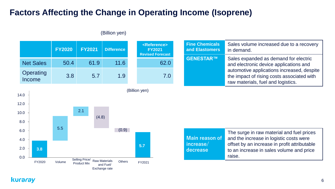## **Factors Affecting the Change in Operating Income (Isoprene)**



#### (Billion yen)

| <b>Fine Chemicals</b> | Sales volume increased due to a recovery                                                                                                                                                                          |  |  |
|-----------------------|-------------------------------------------------------------------------------------------------------------------------------------------------------------------------------------------------------------------|--|--|
| and Elastomers        | in demand.                                                                                                                                                                                                        |  |  |
| GENESTAR™             | Sales expanded as demand for electric<br>and electronic device applications and<br>automotive applications increased, despite<br>the impact of rising costs associated with<br>raw materials, fuel and logistics. |  |  |



|                           | The surge in raw material and fuel prices    |
|---------------------------|----------------------------------------------|
| Main reason of            | and the increase in logistic costs were      |
| $  \mathsf{increase} /  $ | offset by an increase in profit attributable |
| decrease                  | to an increase in sales volume and price     |
|                           | raise.                                       |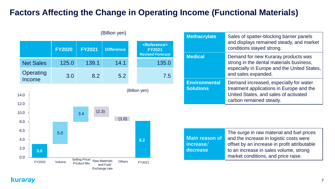## **Factors Affecting the Change in Operating Income (Functional Materials)**



Selling Price/ Product Mix

Raw Materials and Fuel/ Exchange rate

Others FY2021

| <b>Methacrylate</b>                      | Sales of spatter-blocking barrier panels<br>and displays remained steady, and market<br>conditions stayed strong.                                      |
|------------------------------------------|--------------------------------------------------------------------------------------------------------------------------------------------------------|
| <b>Medical</b>                           | Demand for new Kuraray products was<br>strong in the dental materials business,<br>especially in Europe and the United States,<br>and sales expanded.  |
| <b>Environmental</b><br><b>Solutions</b> | Demand increased, especially for water<br>treatment applications in Europe and the<br>United States, and sales of activated<br>carbon remained steady. |

|                                           | The surge in raw material and fuel prices    |
|-------------------------------------------|----------------------------------------------|
| Main reason of                            | and the increase in logistic costs were      |
| $\overline{\mathsf{increase}/\mathsf{l}}$ | offset by an increase in profit attributable |
| decrease                                  | to an increase in sales volume, strong       |
|                                           | market conditions, and price raise.          |

kuraray

0.0

FY2020 Volume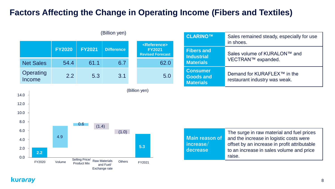## **Factors Affecting the Change in Operating Income (Fibers and Textiles)**

|                     | <b>FY2020</b> | <b>FY2021</b> | <b>Difference</b> | <reference><br/><b>FY2021</b><br/><b>Revised Forecast</b></reference> |
|---------------------|---------------|---------------|-------------------|-----------------------------------------------------------------------|
| <b>Net Sales</b>    | 54.4          | 61.1          | 6.7               | 62.0                                                                  |
| Operating<br>Income | 2.2           | 5.3           | 3.1               | 5.0                                                                   |

(Billion yen)

| (Billion yen)     |                                                                       | CLARINO™                                                | Sales remained steady, especially for use<br>in shoes.                   |  |  |
|-------------------|-----------------------------------------------------------------------|---------------------------------------------------------|--------------------------------------------------------------------------|--|--|
| <b>Difference</b> | <reference><br/><b>FY2021</b><br/><b>Revised Forecast</b></reference> | <b>Fibers and</b><br><b>Industrial</b>                  | Sales volume of KURALON™ and<br>VECTRAN™ expanded.                       |  |  |
| 6.7               | 62.0                                                                  | <b>Materials</b>                                        |                                                                          |  |  |
| 3.1               | 5.0                                                                   | <b>Consumer</b><br><b>Goods and</b><br><b>Materials</b> | Demand for KURAFLEX <sup>™</sup> in the<br>restaurant industry was weak. |  |  |



| Main reason of<br>increase/<br>decrease | The surge in raw material and fuel prices<br>and the increase in logistic costs were<br>offset by an increase in profit attributable<br>to an increase in sales volume and price<br>raise. |
|-----------------------------------------|--------------------------------------------------------------------------------------------------------------------------------------------------------------------------------------------|
|-----------------------------------------|--------------------------------------------------------------------------------------------------------------------------------------------------------------------------------------------|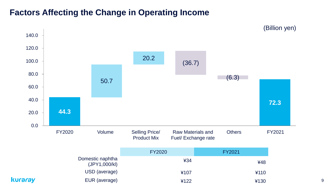## **Factors Affecting the Change in Operating Income**

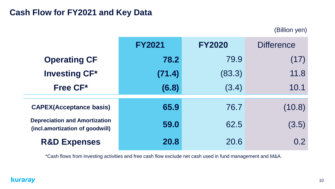### **Cash Flow for FY2021 and Key Data**

(Billion yen)

|                                                                         | <b>FY2021</b> | <b>FY2020</b> | <b>Difference</b> |
|-------------------------------------------------------------------------|---------------|---------------|-------------------|
| <b>Operating CF</b>                                                     | 78.2          | 79.9          | (17)              |
| <b>Investing CF*</b>                                                    | (71.4)        | (83.3)        | 11.8              |
| Free CF*                                                                | (6.8)         | (3.4)         | 10.1              |
| <b>CAPEX(Acceptance basis)</b>                                          | 65.9          | 76.7          | (10.8)            |
| <b>Depreciation and Amortization</b><br>(incl.amortization of goodwill) | 59.0          | 62.5          | (3.5)             |
| <b>R&amp;D Expenses</b>                                                 | 20.8          | 20.6          | 0.2 <sub>2</sub>  |

\*Cash flows from investing activities and free cash flow exclude net cash used in fund management and M&A.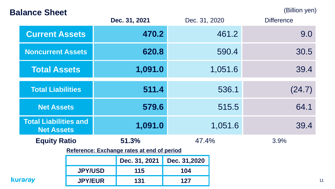## **Balance Sheet** (Billion yen)

11

|                                  |                                                                                               |                       | Dec. 31, 2021 | Dec. 31, 2020                                       |              | <b>Difference</b> |              |
|----------------------------------|-----------------------------------------------------------------------------------------------|-----------------------|---------------|-----------------------------------------------------|--------------|-------------------|--------------|
|                                  |                                                                                               | <b>Current Assets</b> |               | 470.2                                               |              | 461.2             | 9.0          |
|                                  | <b>Noncurrent Assets</b>                                                                      |                       |               | 620.8                                               |              | 590.4             | 30.5         |
|                                  | <b>Total Assets</b>                                                                           |                       |               | 1,091.0                                             |              | 1,051.6           | 39.4         |
|                                  | <b>Total Liabilities</b>                                                                      |                       | 511.4         |                                                     |              | 536.1             | (24.7)       |
|                                  | <b>Net Assets</b><br><b>Total Liabilities and</b><br><b>Net Assets</b><br><b>Equity Ratio</b> |                       |               | 579.6                                               |              | 515.5             | 64.1<br>39.4 |
|                                  |                                                                                               |                       |               | 1,091.0                                             |              | 1,051.6           |              |
|                                  |                                                                                               |                       |               | 51.3%<br>Reference: Exchange rates at end of period | 47.4%        |                   | 3.9%         |
|                                  |                                                                                               |                       |               | Dec. 31, 2021                                       | Dec. 31,2020 |                   |              |
|                                  | <b>JPY/USD</b>                                                                                |                       |               | 115                                                 | 104          |                   |              |
| <b>kuraray</b><br><b>JPY/EUR</b> |                                                                                               |                       | 131           | 127                                                 |              |                   |              |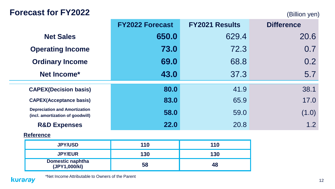## Forecast for FY2022 (Billion yen)

|                                                                          | <b>FY2022 Forecast</b> | <b>FY2021 Results</b> | <b>Difference</b> |
|--------------------------------------------------------------------------|------------------------|-----------------------|-------------------|
| <b>Net Sales</b>                                                         | 650.0                  | 629.4                 | 20.6              |
| <b>Operating Income</b>                                                  | 73.0                   | 72.3                  | 0.7               |
| <b>Ordinary Income</b>                                                   | 69.0                   | 68.8                  | 0.2               |
| Net Income*                                                              | 43.0                   | 37.3                  | 5.7               |
| <b>CAPEX(Decision basis)</b>                                             | 80.0                   | 41.9                  | 38.1              |
| <b>CAPEX(Acceptance basis)</b>                                           | 83.0                   | 65.9                  | 17.0              |
| <b>Depreciation and Amortization</b><br>(incl. amortization of goodwill) | 58.0                   | 59.0                  | (1.0)             |
| <b>R&amp;D Expenses</b>                                                  | 22.0                   | 20.8                  | 1.2               |
| <b>Reference</b>                                                         |                        |                       |                   |
| <b>JPY/USD</b>                                                           | 110                    | 110                   |                   |
| <b>JPY/EUR</b>                                                           | 130                    | 130                   |                   |
| <b>Domestic naphtha</b><br>(JPY1,000/kl)                                 | 58                     | 48                    |                   |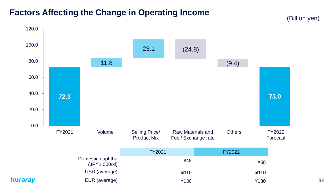## **Factors Affecting the Change in Operating Income**

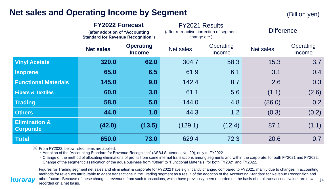## **Net sales and Operating Income by Segment** (Billion yen)

|                                              | <b>FY2022 Forecast</b><br>(after adoption of "Accounting<br><b>Standard for Revenue Recognition")</b> |                                   | <b>FY2021 Results</b><br>(after retroactive correction of segment<br>change etc.) |                     | <b>Difference</b> |                     |  |
|----------------------------------------------|-------------------------------------------------------------------------------------------------------|-----------------------------------|-----------------------------------------------------------------------------------|---------------------|-------------------|---------------------|--|
|                                              | <b>Net sales</b>                                                                                      | <b>Operating</b><br><b>Income</b> | <b>Net sales</b>                                                                  | Operating<br>Income | Net sales         | Operating<br>Income |  |
| <b>Vinyl Acetate</b>                         | 320.0                                                                                                 | 62.0                              | 304.7                                                                             | 58.3                | 15.3              | 3.7                 |  |
| <b>Isoprene</b>                              | 65.0                                                                                                  | 6.5                               | 61.9                                                                              | 6.1                 | 3.1               | 0.4                 |  |
| <b>Functional Materials</b>                  | 145.0                                                                                                 | 9.0                               | 142.4                                                                             | 8.7                 | 2.6               | 0.3                 |  |
| <b>Fibers &amp; Textiles</b>                 | 60.0                                                                                                  | 3.0                               | 61.1                                                                              | 5.6                 | (1.1)             | (2.6)               |  |
| <b>Trading</b>                               | 58.0                                                                                                  | 5.0                               | 144.0                                                                             | 4.8                 | (86.0)            | 0.2                 |  |
| <b>Others</b>                                | 44.0                                                                                                  | 1.0                               | 44.3                                                                              | 1.2                 | (0.3)             | (0.2)               |  |
| <b>Elimination &amp;</b><br><b>Corporate</b> | (42.0)                                                                                                | (13.5)                            | (129.1)                                                                           | (12.4)              | 87.1              | (1.1)               |  |
| <b>Total</b>                                 | 650.0                                                                                                 | 73.0                              | 629.4                                                                             | 72.3                | 20.6              | 0.7                 |  |

※ From FY2022, below listed items are applied.

・Adoption of the "Accounting Standard for Revenue Recognition" (ASBJ Statement No. 29), only to FY2022.

・Change of the method of allocating eliminations of profits from some internal transactions among segments and within the corporate, for both FY2021 and FY2022.

・Change of the segment classification of the aqua business from "Other" to "Functional Materials, for both FY2021 and FY2022.

Figures for Trading segment net sales and elimination & corporate for FY2022 have significantly changed compared to FY2021, mainly due to changes in accounting methods for revenues attributable to agent transactions in the Trading segment as a result of the adoption of the Accounting Standard for Revenue Recognition and other factors. Because of these changes, revenues from such transactions, which have previously been recorded on the basis of total transactional value, are now recorded on a net basis.

#### kurarav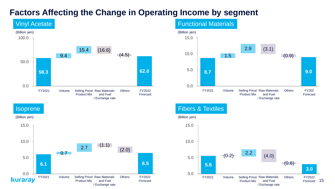## **Factors Affecting the Change in Operating Income by segment**



#### Functional Materials



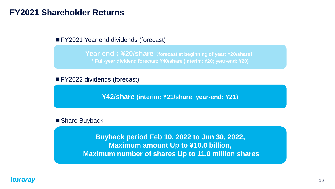### **FY2021 Shareholder Returns**

■ FY2021 Year end dividends (forecast)

**Year end:¥20/share(forecast at beginning of year: ¥20/share) \* Full-year dividend forecast: ¥40/share (interim: ¥20; year-end: ¥20)**

■ FY2022 dividends (forecast)

**¥42/share (interim: ¥21/share, year-end: ¥21)**

■ Share Buyback

**Buyback period Feb 10, 2022 to Jun 30, 2022, Maximum amount Up to ¥10.0 billion, Maximum number of shares Up to 11.0 million shares**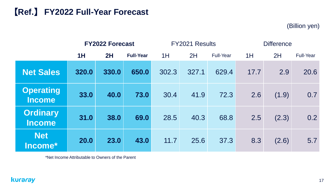## 【**Ref.**】 **FY2022 Full-Year Forecast**

(Billion yen)

|                                   | <b>FY2022 Forecast</b> |       |                  |       | FY2021 Results |                  | <b>Difference</b> |       |                  |
|-----------------------------------|------------------------|-------|------------------|-------|----------------|------------------|-------------------|-------|------------------|
|                                   | 1H                     | 2H    | <b>Full-Year</b> | 1H    | 2H             | <b>Full-Year</b> | 1H                | 2H    | <b>Full-Year</b> |
| <b>Net Sales</b>                  | 320.0                  | 330.0 | 650.0            | 302.3 | 327.1          | 629.4            | 17.7              | 2.9   | 20.6             |
| <b>Operating</b><br><b>Income</b> | 33.0                   | 40.0  | 73.0             | 30.4  | 41.9           | 72.3             | 2.6               | (1.9) | 0.7              |
| <b>Ordinary</b><br><b>Income</b>  | 31.0                   | 38.0  | 69.0             | 28.5  | 40.3           | 68.8             | 2.5               | (2.3) | 0.2              |
| <b>Net</b><br>Income*             | <b>20.0</b>            | 23.0  | 43.0             | 11.7  | 25.6           | 37.3             | 8.3               | (2.6) | 5.7              |

\*Net Income Attributable to Owners of the Parent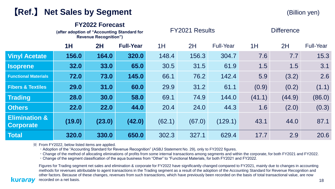## 【**Ref.**】 **Net Sales by Segment**

(Billion yen)

#### **FY2022 Forecast**

|                                              | (after adoption of "Accounting Standard for<br><b>Revenue Recognition")</b> |        |                  |        | <b>FY2021 Results</b> |                  | <b>Difference</b> |        |                  |
|----------------------------------------------|-----------------------------------------------------------------------------|--------|------------------|--------|-----------------------|------------------|-------------------|--------|------------------|
|                                              | 1H                                                                          | 2H     | <b>Full-Year</b> | 1H     | 2H                    | <b>Full-Year</b> | 1H                | 2H     | <b>Full-Year</b> |
| <b>Vinyl Acetate</b>                         | 156.0                                                                       | 164.0  | 320.0            | 148.4  | 156.3                 | 304.7            | 7.6               | 7.7    | 15.3             |
| <b>Isoprene</b>                              | 32.0                                                                        | 33.0   | 65.0             | 30.5   | 31.5                  | 61.9             | 1.5               | 1.5    | 3.1              |
| <b>Functional Materials</b>                  | 72.0                                                                        | 73.0   | 145.0            | 66.1   | 76.2                  | 142.4            | 5.9               | (3.2)  | 2.6              |
| <b>Fibers &amp; Textiles</b>                 | 29.0                                                                        | 31.0   | 60.0             | 29.9   | 31.2                  | 61.1             | (0.9)             | (0.2)  | (1.1)            |
| <b>Trading</b>                               | 28.0                                                                        | 30.0   | 58.0             | 69.1   | 74.9                  | 144.0            | (41.1)            | (44.9) | (86.0)           |
| <b>Others</b>                                | 22.0                                                                        | 22.0   | 44.0             | 20.4   | 24.0                  | 44.3             | 1.6               | (2.0)  | (0.3)            |
| <b>Elimination &amp;</b><br><b>Corporate</b> | (19.0)                                                                      | (23.0) | (42.0)           | (62.1) | (67.0)                | (129.1)          | 43.1              | 44.0   | 87.1             |
| <b>Total</b>                                 | 320.0                                                                       | 330.0  | 650.0            | 302.3  | 327.1                 | 629.4            | 17.7              | 2.9    | 20.6             |

※ From FY2022, below listed items are applied.

kurarav

・Adoption of the "Accounting Standard for Revenue Recognition" (ASBJ Statement No. 29), only to FY2022 figures.

・Change of the method of allocating eliminations of profits from some internal transactions among segments and within the corporate, for both FY2021 and FY2022.

・Change of the segment classification of the aqua business from "Other" to "Functional Materials, for both FY2021 and FY2022.

Figures for Trading segment net sales and elimination & corporate for FY2022 have significantly changed compared to FY2021, mainly due to changes in accounting methods for revenues attributable to agent transactions in the Trading segment as a result of the adoption of the Accounting Standard for Revenue Recognition and other factors. Because of these changes, revenues from such transactions, which have previously been recorded on the basis of total transactional value, are now recorded on a net basis.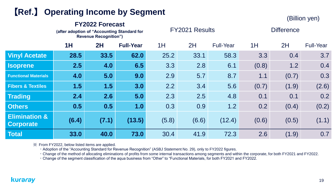## 【**Ref.**】 **Operating Income by Segment**

(Billion yen)

|                                              |       | <b>FY2022 Forecast</b><br>(after adoption of "Accounting Standard for<br><b>Revenue Recognition")</b> |                  |       | <b>FY2021 Results</b> |                  | <b>Difference</b> |       |                  |  |
|----------------------------------------------|-------|-------------------------------------------------------------------------------------------------------|------------------|-------|-----------------------|------------------|-------------------|-------|------------------|--|
|                                              | 1H    | <b>2H</b>                                                                                             | <b>Full-Year</b> | 1H    | 2H                    | <b>Full-Year</b> | 1H                | 2H    | <b>Full-Year</b> |  |
| <b>Vinyl Acetate</b>                         | 28.5  | 33.5                                                                                                  | 62.0             | 25.2  | 33.1                  | 58.3             | 3.3               | 0.4   | 3.7              |  |
| <b>Isoprene</b>                              | 2.5   | 4.0                                                                                                   | 6.5              | 3.3   | 2.8                   | 6.1              | (0.8)             | 1.2   | 0.4              |  |
| <b>Functional Materials</b>                  | 4.0   | 5.0                                                                                                   | 9.0              | 2.9   | 5.7                   | 8.7              | 1.1               | (0.7) | 0.3              |  |
| <b>Fibers &amp; Textiles</b>                 | 1.5   | 1.5                                                                                                   | 3.0              | 2.2   | 3.4                   | 5.6              | (0.7)             | (1.9) | (2.6)            |  |
| <b>Trading</b>                               | 2.4   | 2.6                                                                                                   | 5.0              | 2.3   | 2.5                   | 4.8              | 0.1               | 0.1   | 0.2              |  |
| <b>Others</b>                                | 0.5   | 0.5                                                                                                   | 1.0              | 0.3   | 0.9                   | 1.2              | 0.2               | (0.4) | (0.2)            |  |
| <b>Elimination &amp;</b><br><b>Corporate</b> | (6.4) | (7.1)                                                                                                 | (13.5)           | (5.8) | (6.6)                 | (12.4)           | (0.6)             | (0.5) | (1.1)            |  |
| <b>Total</b>                                 | 33.0  | 40.0                                                                                                  | 73.0             | 30.4  | 41.9                  | 72.3             | 2.6               | (1.9) | 0.7              |  |

※ From FY2022, below listed items are applied.

・Adoption of the "Accounting Standard for Revenue Recognition" (ASBJ Statement No. 29), only to FY2022 figures.

・Change of the method of allocating eliminations of profits from some internal transactions among segments and within the corporate, for both FY2021 and FY2022.

・Change of the segment classification of the aqua business from "Other" to "Functional Materials, for both FY2021 and FY2022.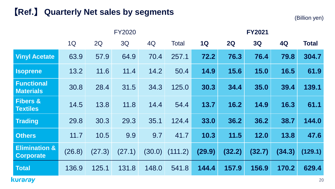## 【**Ref.**】 **Quarterly Net sales by segments**

(Billion yen)

|                                              |        |        | <b>FY2020</b> |        | <b>FY2021</b> |        |        |        |           |              |
|----------------------------------------------|--------|--------|---------------|--------|---------------|--------|--------|--------|-----------|--------------|
|                                              | 1Q     | 2Q     | 3Q            | 4Q     | <b>Total</b>  | 1Q     | 2Q     | 3Q     | <b>4Q</b> | <b>Total</b> |
| <b>Vinyl Acetate</b>                         | 63.9   | 57.9   | 64.9          | 70.4   | 257.1         | 72.2   | 76.3   | 76.4   | 79.8      | 304.7        |
| <b>Isoprene</b>                              | 13.2   | 11.6   | 11.4          | 14.2   | 50.4          | 14.9   | 15.6   | 15.0   | 16.5      | 61.9         |
| <b>Functional</b><br><b>Materials</b>        | 30.8   | 28.4   | 31.5          | 34.3   | 125.0         | 30.3   | 34.4   | 35.0   | 39.4      | 139.1        |
| <b>Fibers &amp;</b><br><b>Textiles</b>       | 14.5   | 13.8   | 11.8          | 14.4   | 54.4          | 13.7   | 16.2   | 14.9   | 16.3      | 61.1         |
| <b>Trading</b>                               | 29.8   | 30.3   | 29.3          | 35.1   | 124.4         | 33.0   | 36.2   | 36.2   | 38.7      | 144.0        |
| <b>Others</b>                                | 11.7   | 10.5   | 9.9           | 9.7    | 41.7          | 10.3   | 11.5   | 12.0   | 13.8      | 47.6         |
| <b>Elimination &amp;</b><br><b>Corporate</b> | (26.8) | (27.3) | (27.1)        | (30.0) | (111.2)       | (29.9) | (32.2) | (32.7) | (34.3)    | (129.1)      |
| <b>Total</b>                                 | 136.9  | 125.1  | 131.8         | 148.0  | 541.8         | 144.4  | 157.9  | 156.9  | 170.2     | 629.4        |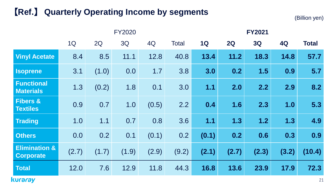## 【**Ref.**】 **Quarterly Operating Income by segments**

(Billion yen)

|                                              |       |       | <b>FY2020</b> |       | <b>FY2021</b> |           |       |           |       |              |
|----------------------------------------------|-------|-------|---------------|-------|---------------|-----------|-------|-----------|-------|--------------|
|                                              | 1Q    | 2Q    | 3Q            | 4Q    | <b>Total</b>  | <b>1Q</b> | 2Q    | <b>3Q</b> | 4Q    | <b>Total</b> |
| <b>Vinyl Acetate</b>                         | 8.4   | 8.5   | 11.1          | 12.8  | 40.8          | 13.4      | 11.2  | 18.3      | 14.8  | 57.7         |
| <b>Isoprene</b>                              | 3.1   | (1.0) | 0.0           | 1.7   | 3.8           | 3.0       | 0.2   | 1.5       | 0.9   | 5.7          |
| <b>Functional</b><br><b>Materials</b>        | 1.3   | (0.2) | 1.8           | 0.1   | 3.0           | 1.1       | 2.0   | 2.2       | 2.9   | 8.2          |
| <b>Fibers &amp;</b><br><b>Textiles</b>       | 0.9   | 0.7   | 1.0           | (0.5) | 2.2           | 0.4       | 1.6   | 2.3       | 1.0   | 5.3          |
| <b>Trading</b>                               | 1.0   | 1.1   | 0.7           | 0.8   | 3.6           | 1.1       | 1.3   | 1.2       | 1.3   | 4.9          |
| <b>Others</b>                                | 0.0   | 0.2   | 0.1           | (0.1) | 0.2           | (0.1)     | 0.2   | 0.6       | 0.3   | 0.9          |
| <b>Elimination &amp;</b><br><b>Corporate</b> | (2.7) | (1.7) | (1.9)         | (2.9) | (9.2)         | (2.1)     | (2.7) | (2.3)     | (3.2) | (10.4)       |
| <b>Total</b>                                 | 12.0  | 7.6   | 12.9          | 11.8  | 44.3          | 16.8      | 13.6  | 23.9      | 17.9  | 72.3         |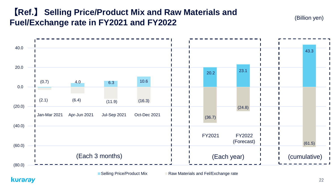## 【**Ref.**】 **Selling Price/Product Mix and Raw Materials and Fuel/Exchange rate in FY2021 and FY2022**

(Billion yen)



■ Selling Price/Product Mix Raw Materials and Fel/Exchange rate